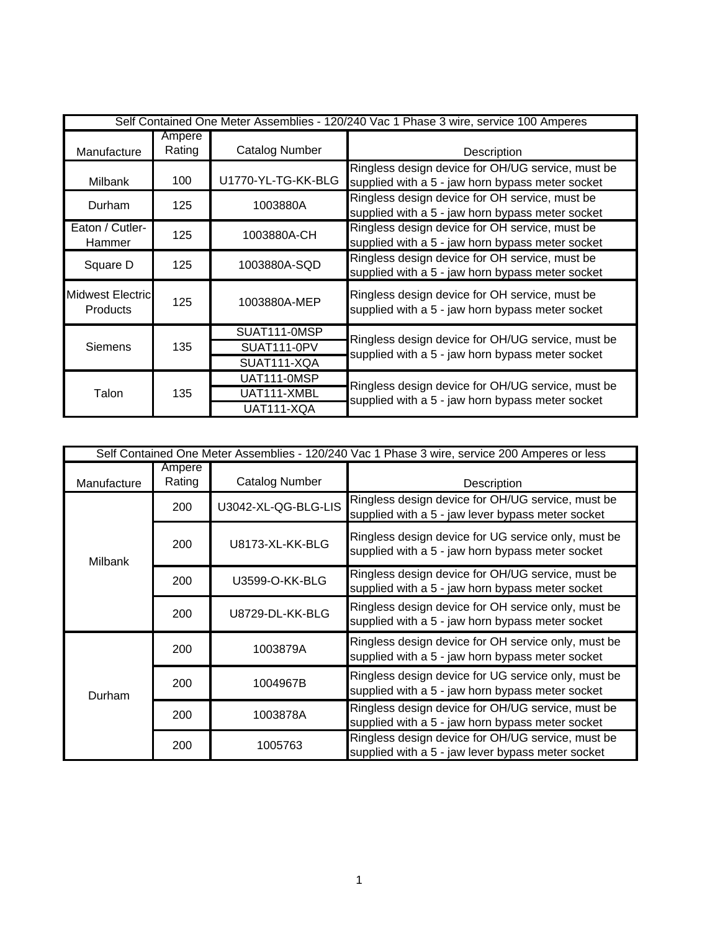| Self Contained One Meter Assemblies - 120/240 Vac 1 Phase 3 wire, service 100 Amperes |                  |                       |                                                                                                       |
|---------------------------------------------------------------------------------------|------------------|-----------------------|-------------------------------------------------------------------------------------------------------|
| Manufacture                                                                           | Ampere<br>Rating | <b>Catalog Number</b> | Description                                                                                           |
| Milbank                                                                               | 100              | U1770-YL-TG-KK-BLG    | Ringless design device for OH/UG service, must be<br>supplied with a 5 - jaw horn bypass meter socket |
| Durham                                                                                | 125              | 1003880A              | Ringless design device for OH service, must be<br>supplied with a 5 - jaw horn bypass meter socket    |
| Eaton / Cutler-<br>Hammer                                                             | 125              | 1003880A-CH           | Ringless design device for OH service, must be<br>supplied with a 5 - jaw horn bypass meter socket    |
| Square D                                                                              | 125              | 1003880A-SQD          | Ringless design device for OH service, must be<br>supplied with a 5 - jaw horn bypass meter socket    |
| Midwest Electric<br><b>Products</b>                                                   | 125              | 1003880A-MEP          | Ringless design device for OH service, must be<br>supplied with a 5 - jaw horn bypass meter socket    |
|                                                                                       | 135              | SUAT111-0MSP          | Ringless design device for OH/UG service, must be                                                     |
| <b>Siemens</b>                                                                        |                  | SUAT111-0PV           | supplied with a 5 - jaw horn bypass meter socket                                                      |
|                                                                                       |                  | SUAT111-XQA           |                                                                                                       |
| Talon                                                                                 | 135              | UAT111-0MSP           | Ringless design device for OH/UG service, must be                                                     |
|                                                                                       |                  | UAT111-XMBL           | supplied with a 5 - jaw horn bypass meter socket                                                      |
|                                                                                       |                  | UAT111-XQA            |                                                                                                       |

| Self Contained One Meter Assemblies - 120/240 Vac 1 Phase 3 wire, service 200 Amperes or less |                  |                     |                                                                                                         |
|-----------------------------------------------------------------------------------------------|------------------|---------------------|---------------------------------------------------------------------------------------------------------|
| Manufacture                                                                                   | Ampere<br>Rating | Catalog Number      | Description                                                                                             |
| <b>Milbank</b>                                                                                | 200              | U3042-XL-QG-BLG-LIS | Ringless design device for OH/UG service, must be<br>supplied with a 5 - jaw lever bypass meter socket  |
|                                                                                               | 200              | U8173-XL-KK-BLG     | Ringless design device for UG service only, must be<br>supplied with a 5 - jaw horn bypass meter socket |
|                                                                                               | 200              | U3599-O-KK-BLG      | Ringless design device for OH/UG service, must be<br>supplied with a 5 - jaw horn bypass meter socket   |
|                                                                                               | 200              | U8729-DL-KK-BLG     | Ringless design device for OH service only, must be<br>supplied with a 5 - jaw horn bypass meter socket |
| Durham                                                                                        | 200              | 1003879A            | Ringless design device for OH service only, must be<br>supplied with a 5 - jaw horn bypass meter socket |
|                                                                                               | 200              | 1004967B            | Ringless design device for UG service only, must be<br>supplied with a 5 - jaw horn bypass meter socket |
|                                                                                               | 200              | 1003878A            | Ringless design device for OH/UG service, must be<br>supplied with a 5 - jaw horn bypass meter socket   |
|                                                                                               | 200              | 1005763             | Ringless design device for OH/UG service, must be<br>supplied with a 5 - jaw lever bypass meter socket  |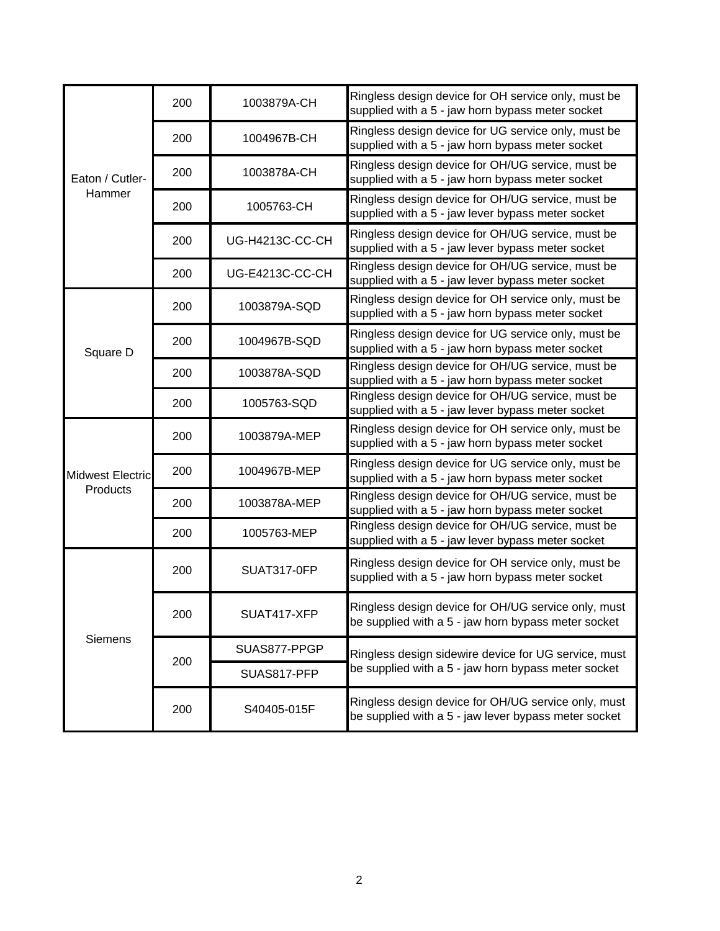| Eaton / Cutler-         | 200 | 1003879A-CH        | Ringless design device for OH service only, must be<br>supplied with a 5 - jaw horn bypass meter socket     |
|-------------------------|-----|--------------------|-------------------------------------------------------------------------------------------------------------|
|                         | 200 | 1004967B-CH        | Ringless design device for UG service only, must be<br>supplied with a 5 - jaw horn bypass meter socket     |
|                         | 200 | 1003878A-CH        | Ringless design device for OH/UG service, must be<br>supplied with a 5 - jaw horn bypass meter socket       |
| Hammer                  | 200 | 1005763-CH         | Ringless design device for OH/UG service, must be<br>supplied with a 5 - jaw lever bypass meter socket      |
|                         | 200 | UG-H4213C-CC-CH    | Ringless design device for OH/UG service, must be<br>supplied with a 5 - jaw lever bypass meter socket      |
|                         | 200 | UG-E4213C-CC-CH    | Ringless design device for OH/UG service, must be<br>supplied with a 5 - jaw lever bypass meter socket      |
|                         | 200 | 1003879A-SQD       | Ringless design device for OH service only, must be<br>supplied with a 5 - jaw horn bypass meter socket     |
| Square D                | 200 | 1004967B-SQD       | Ringless design device for UG service only, must be<br>supplied with a 5 - jaw horn bypass meter socket     |
|                         | 200 | 1003878A-SQD       | Ringless design device for OH/UG service, must be<br>supplied with a 5 - jaw horn bypass meter socket       |
|                         | 200 | 1005763-SQD        | Ringless design device for OH/UG service, must be<br>supplied with a 5 - jaw lever bypass meter socket      |
|                         | 200 | 1003879A-MEP       | Ringless design device for OH service only, must be<br>supplied with a 5 - jaw horn bypass meter socket     |
| <b>Midwest Electric</b> | 200 | 1004967B-MEP       | Ringless design device for UG service only, must be<br>supplied with a 5 - jaw horn bypass meter socket     |
| Products                | 200 | 1003878A-MEP       | Ringless design device for OH/UG service, must be<br>supplied with a 5 - jaw horn bypass meter socket       |
|                         | 200 | 1005763-MEP        | Ringless design device for OH/UG service, must be<br>supplied with a 5 - jaw lever bypass meter socket      |
| <b>Siemens</b>          | 200 | <b>SUAT317-0FP</b> | Ringless design device for OH service only, must be<br>supplied with a 5 - jaw horn bypass meter socket     |
|                         | 200 | SUAT417-XFP        | Ringless design device for OH/UG service only, must<br>be supplied with a 5 - jaw horn bypass meter socket  |
|                         | 200 | SUAS877-PPGP       | Ringless design sidewire device for UG service, must<br>be supplied with a 5 - jaw horn bypass meter socket |
|                         |     | SUAS817-PFP        |                                                                                                             |
|                         | 200 | S40405-015F        | Ringless design device for OH/UG service only, must<br>be supplied with a 5 - jaw lever bypass meter socket |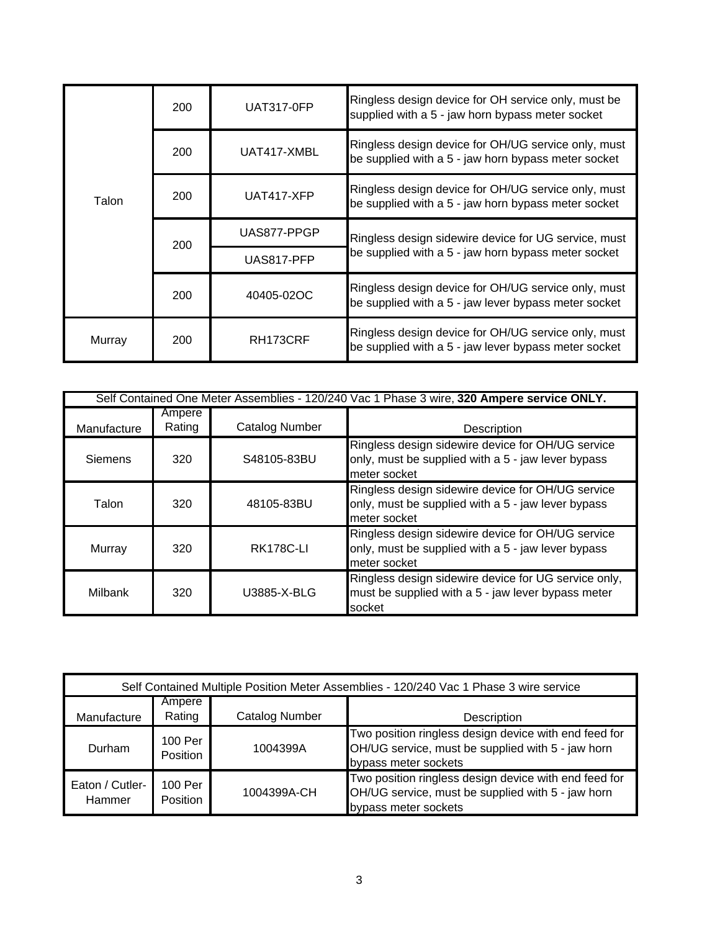| Talon  | 200 | <b>UAT317-0FP</b>     | Ringless design device for OH service only, must be<br>supplied with a 5 - jaw horn bypass meter socket     |
|--------|-----|-----------------------|-------------------------------------------------------------------------------------------------------------|
|        | 200 | UAT417-XMBL           | Ringless design device for OH/UG service only, must<br>be supplied with a 5 - jaw horn bypass meter socket  |
|        | 200 | UAT417-XFP            | Ringless design device for OH/UG service only, must<br>be supplied with a 5 - jaw horn bypass meter socket  |
|        | 200 | UAS877-PPGP           | Ringless design sidewire device for UG service, must<br>be supplied with a 5 - jaw horn bypass meter socket |
|        |     | UAS817-PFP            |                                                                                                             |
|        | 200 | 40405-02OC            | Ringless design device for OH/UG service only, must<br>be supplied with a 5 - jaw lever bypass meter socket |
| Murray | 200 | RH <sub>173</sub> CRF | Ringless design device for OH/UG service only, must<br>be supplied with a 5 - jaw lever bypass meter socket |

| Self Contained One Meter Assemblies - 120/240 Vac 1 Phase 3 wire, 320 Ampere service ONLY. |                  |                       |                                                                                                                         |
|--------------------------------------------------------------------------------------------|------------------|-----------------------|-------------------------------------------------------------------------------------------------------------------------|
| Manufacture                                                                                | Ampere<br>Rating | <b>Catalog Number</b> | Description                                                                                                             |
| Siemens                                                                                    | 320              | S48105-83BU           | Ringless design sidewire device for OH/UG service<br>only, must be supplied with a 5 - jaw lever bypass<br>meter socket |
| Talon                                                                                      | 320              | 48105-83BU            | Ringless design sidewire device for OH/UG service<br>only, must be supplied with a 5 - jaw lever bypass<br>meter socket |
| Murray                                                                                     | 320              | <b>RK178C-LI</b>      | Ringless design sidewire device for OH/UG service<br>only, must be supplied with a 5 - jaw lever bypass<br>meter socket |
| Milbank                                                                                    | 320              | U3885-X-BLG           | Ringless design sidewire device for UG service only,<br>must be supplied with a 5 - jaw lever bypass meter<br>socket    |

| Self Contained Multiple Position Meter Assemblies - 120/240 Vac 1 Phase 3 wire service |                            |                       |                                                                                                                                    |
|----------------------------------------------------------------------------------------|----------------------------|-----------------------|------------------------------------------------------------------------------------------------------------------------------------|
| Manufacture                                                                            | Ampere<br>Rating           | <b>Catalog Number</b> | Description                                                                                                                        |
| Durham                                                                                 | 100 Per<br><b>Position</b> | 1004399A              | Two position ringless design device with end feed for<br>OH/UG service, must be supplied with 5 - jaw horn<br>bypass meter sockets |
| Eaton / Cutler-<br>Hammer                                                              | 100 Per<br>Position        | 1004399A-CH           | Two position ringless design device with end feed for<br>OH/UG service, must be supplied with 5 - jaw horn<br>bypass meter sockets |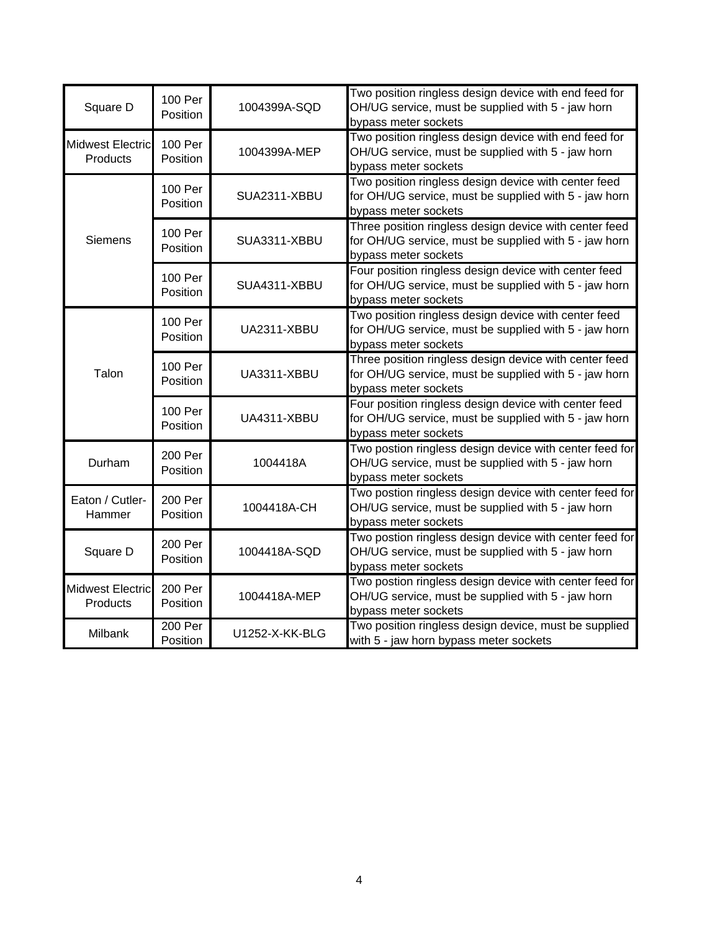| Square D                            | 100 Per<br>Position | 1004399A-SQD       | Two position ringless design device with end feed for<br>OH/UG service, must be supplied with 5 - jaw horn<br>bypass meter sockets      |
|-------------------------------------|---------------------|--------------------|-----------------------------------------------------------------------------------------------------------------------------------------|
| <b>Midwest Electric</b><br>Products | 100 Per<br>Position | 1004399A-MEP       | Two position ringless design device with end feed for<br>OH/UG service, must be supplied with 5 - jaw horn<br>bypass meter sockets      |
| <b>Siemens</b>                      | 100 Per<br>Position | SUA2311-XBBU       | Two position ringless design device with center feed<br>for OH/UG service, must be supplied with 5 - jaw horn<br>bypass meter sockets   |
|                                     | 100 Per<br>Position | SUA3311-XBBU       | Three position ringless design device with center feed<br>for OH/UG service, must be supplied with 5 - jaw horn<br>bypass meter sockets |
|                                     | 100 Per<br>Position | SUA4311-XBBU       | Four position ringless design device with center feed<br>for OH/UG service, must be supplied with 5 - jaw horn<br>bypass meter sockets  |
| Talon                               | 100 Per<br>Position | UA2311-XBBU        | Two position ringless design device with center feed<br>for OH/UG service, must be supplied with 5 - jaw horn<br>bypass meter sockets   |
|                                     | 100 Per<br>Position | UA3311-XBBU        | Three position ringless design device with center feed<br>for OH/UG service, must be supplied with 5 - jaw horn<br>bypass meter sockets |
|                                     | 100 Per<br>Position | <b>UA4311-XBBU</b> | Four position ringless design device with center feed<br>for OH/UG service, must be supplied with 5 - jaw horn<br>bypass meter sockets  |
| Durham                              | 200 Per<br>Position | 1004418A           | Two postion ringless design device with center feed for<br>OH/UG service, must be supplied with 5 - jaw horn<br>bypass meter sockets    |
| Eaton / Cutler-<br>Hammer           | 200 Per<br>Position | 1004418A-CH        | Two postion ringless design device with center feed for<br>OH/UG service, must be supplied with 5 - jaw horn<br>bypass meter sockets    |
| Square D                            | 200 Per<br>Position | 1004418A-SQD       | Two postion ringless design device with center feed for<br>OH/UG service, must be supplied with 5 - jaw horn<br>bypass meter sockets    |
| <b>Midwest Electric</b><br>Products | 200 Per<br>Position | 1004418A-MEP       | Two postion ringless design device with center feed for<br>OH/UG service, must be supplied with 5 - jaw horn<br>bypass meter sockets    |
| Milbank                             | 200 Per<br>Position | U1252-X-KK-BLG     | Two position ringless design device, must be supplied<br>with 5 - jaw horn bypass meter sockets                                         |